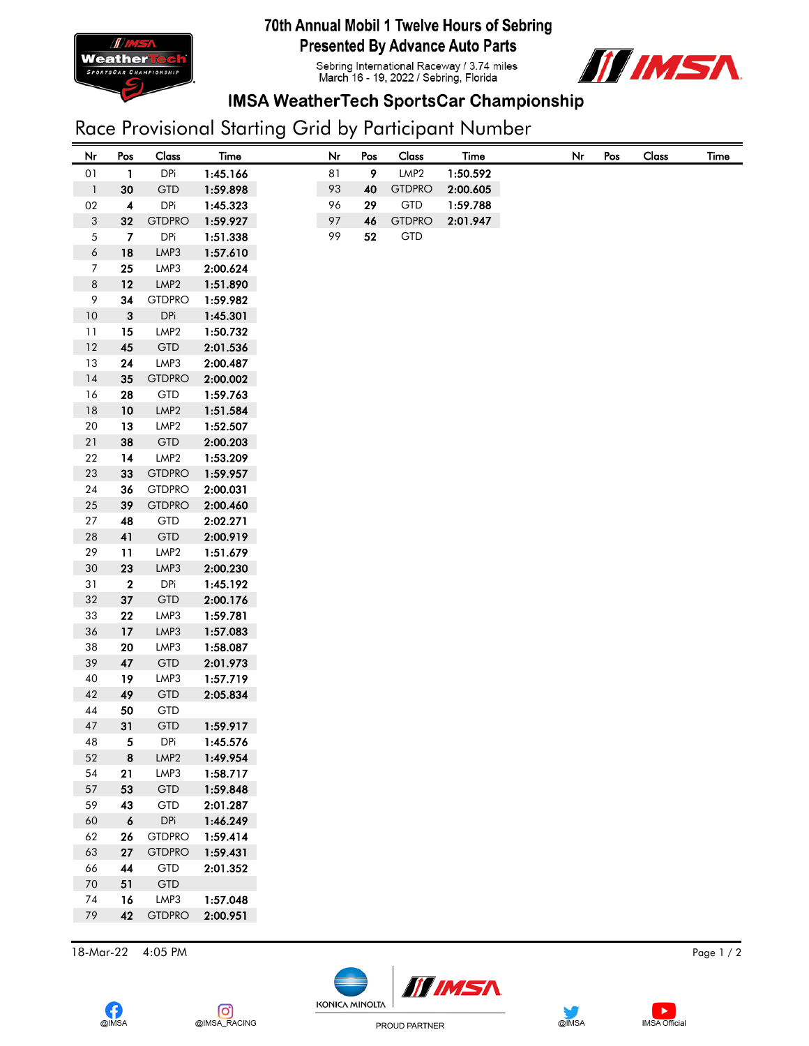

### 70th Annual Mobil 1 Twelve Hours of Sebring **Presented By Advance Auto Parts**

Sebring International Raceway / 3.74 miles<br>March 16 - 19, 2022 / Sebring, Florida



## **IMSA WeatherTech SportsCar Championship**

# Race Provisional Starting Grid by Participant Number

| Nr                       | Pos                     | Class            | Time     | Nr | Pos | Class            | <b>Time</b> | Nr | Pos | Class |  |
|--------------------------|-------------------------|------------------|----------|----|-----|------------------|-------------|----|-----|-------|--|
| $01\,$                   | 1                       | <b>DPi</b>       | 1:45.166 | 81 | 9   | LMP <sub>2</sub> | 1:50.592    |    |     |       |  |
| $\overline{\phantom{a}}$ | 30                      | <b>GTD</b>       | 1:59.898 | 93 | 40  | <b>GTDPRO</b>    | 2:00.605    |    |     |       |  |
| $02\,$                   | $\overline{\mathbf{4}}$ | <b>DPi</b>       | 1:45.323 | 96 | 29  | GTD              | 1:59.788    |    |     |       |  |
| $\sqrt{3}$               | 32                      | <b>GTDPRO</b>    | 1:59.927 | 97 | 46  | <b>GTDPRO</b>    | 2:01.947    |    |     |       |  |
| $\sqrt{5}$               | $\overline{7}$          | <b>DPi</b>       | 1:51.338 | 99 | 52  | GTD              |             |    |     |       |  |
| $\boldsymbol{6}$         | 18                      | LMP3             | 1:57.610 |    |     |                  |             |    |     |       |  |
| $\boldsymbol{7}$         | 25                      | LMP3             | 2:00.624 |    |     |                  |             |    |     |       |  |
| $\,8\,$                  | 12                      | LMP <sub>2</sub> | 1:51.890 |    |     |                  |             |    |     |       |  |
| 9                        | 34                      | <b>GTDPRO</b>    | 1:59.982 |    |     |                  |             |    |     |       |  |
| $10\,$                   | $\mathbf 3$             | <b>DPi</b>       | 1:45.301 |    |     |                  |             |    |     |       |  |
| 11                       | 15                      | LMP <sub>2</sub> | 1:50.732 |    |     |                  |             |    |     |       |  |
| $12\,$                   | 45                      | <b>GTD</b>       | 2:01.536 |    |     |                  |             |    |     |       |  |
| 13                       | 24                      | LMP3             | 2:00.487 |    |     |                  |             |    |     |       |  |
| $14$                     | 35                      | <b>GTDPRO</b>    | 2:00.002 |    |     |                  |             |    |     |       |  |
| 16                       | 28                      | GTD              | 1:59.763 |    |     |                  |             |    |     |       |  |
| $18\,$                   | 10                      | LMP <sub>2</sub> | 1:51.584 |    |     |                  |             |    |     |       |  |
| $20\,$                   | 13                      | LMP <sub>2</sub> | 1:52.507 |    |     |                  |             |    |     |       |  |
| $21\,$                   | 38                      | <b>GTD</b>       | 2:00.203 |    |     |                  |             |    |     |       |  |
| 22                       | 14                      | LMP <sub>2</sub> | 1:53.209 |    |     |                  |             |    |     |       |  |
| $23\,$                   | 33                      | <b>GTDPRO</b>    | 1:59.957 |    |     |                  |             |    |     |       |  |
| $24\,$                   | 36                      | <b>GTDPRO</b>    | 2:00.031 |    |     |                  |             |    |     |       |  |
| $25\,$                   | 39                      | <b>GTDPRO</b>    | 2:00.460 |    |     |                  |             |    |     |       |  |
| 27                       | 48                      | <b>GTD</b>       | 2:02.271 |    |     |                  |             |    |     |       |  |
| ${\bf 28}$               | 41                      | <b>GTD</b>       | 2:00.919 |    |     |                  |             |    |     |       |  |
| 29                       | 11                      | LMP <sub>2</sub> | 1:51.679 |    |     |                  |             |    |     |       |  |
| $30\,$                   | 23                      | LMP3             | 2:00.230 |    |     |                  |             |    |     |       |  |
| 31                       | $\bf 2$                 | <b>DPi</b>       | 1:45.192 |    |     |                  |             |    |     |       |  |
| 32                       | 37                      | <b>GTD</b>       | 2:00.176 |    |     |                  |             |    |     |       |  |
| 33                       | 22                      | LMP3             | 1:59.781 |    |     |                  |             |    |     |       |  |
| 36                       | 17                      | LMP3             | 1:57.083 |    |     |                  |             |    |     |       |  |
| 38                       | 20                      | LMP3             | 1:58.087 |    |     |                  |             |    |     |       |  |
| 39                       | 47                      | <b>GTD</b>       | 2:01.973 |    |     |                  |             |    |     |       |  |
| 40                       | 19                      | LMP3             | 1:57.719 |    |     |                  |             |    |     |       |  |
| 42                       | 49                      | <b>GTD</b>       | 2:05.834 |    |     |                  |             |    |     |       |  |
| 44                       | 50                      | <b>GTD</b>       |          |    |     |                  |             |    |     |       |  |
| $47\,$                   | 31                      | <b>GTD</b>       | 1:59.917 |    |     |                  |             |    |     |       |  |
| 48                       | 5                       | <b>DPi</b>       | 1:45.576 |    |     |                  |             |    |     |       |  |
| 52                       | $\bf8$                  | LMP <sub>2</sub> | 1:49.954 |    |     |                  |             |    |     |       |  |
| 54                       | 21                      | LMP3             | 1:58.717 |    |     |                  |             |    |     |       |  |
| 57                       | 53                      | <b>GTD</b>       | 1:59.848 |    |     |                  |             |    |     |       |  |
| 59                       | 43                      | <b>GTD</b>       | 2:01.287 |    |     |                  |             |    |     |       |  |
| $60\,$                   | $\pmb{6}$               | DPi              | 1:46.249 |    |     |                  |             |    |     |       |  |
| 62                       | 26                      | <b>GTDPRO</b>    | 1:59.414 |    |     |                  |             |    |     |       |  |
| 63                       | 27                      | <b>GTDPRO</b>    | 1:59.431 |    |     |                  |             |    |     |       |  |
| 66                       | 44                      | <b>GTD</b>       | 2:01.352 |    |     |                  |             |    |     |       |  |
| $70\,$                   | 51                      | <b>GTD</b>       |          |    |     |                  |             |    |     |       |  |
| 74                       | 16                      | LMP3             | 1:57.048 |    |     |                  |             |    |     |       |  |
| 79                       | 42                      | <b>GTDPRO</b>    | 2:00.951 |    |     |                  |             |    |     |       |  |

18-Mar-22 4:05 PM Page 1 / 2





 $\blacktriangleright$ 

**IMSA** Official



PROUD PARTNER